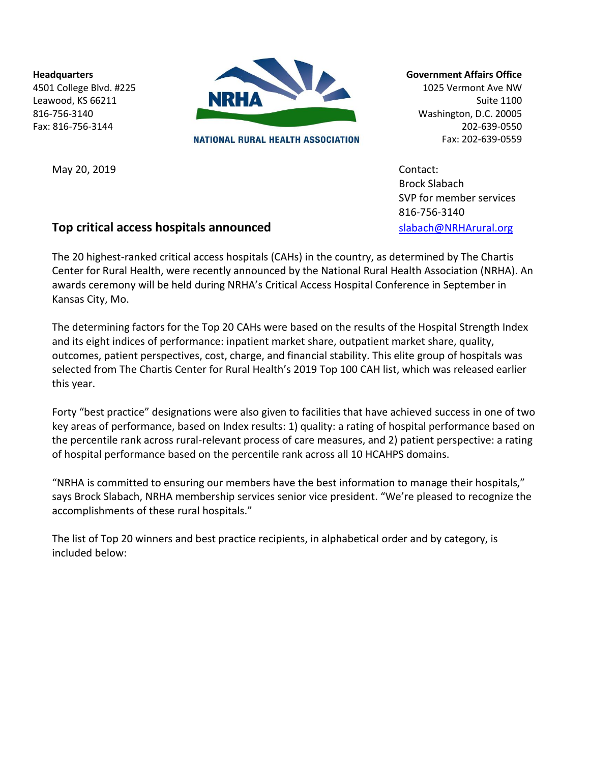**Headquarters** 4501 College Blvd. #225 Leawood, KS 66211 816-756-3140 Fax: 816-756-3144



NATIONAL RURAL HEALTH ASSOCIATION

**Government Affairs Office**

1025 Vermont Ave NW Suite 1100 Washington, D.C. 20005 202-639-0550 Fax: 202-639-0559

May 20, 2019 Contact: Brock Slabach SVP for member services 816-756-3140

# **Top critical access hospitals announced** [slabach@NRHArural.org](mailto:slabach@NRHArural.org)

The 20 highest-ranked critical access hospitals (CAHs) in the country, as determined by The Chartis Center for Rural Health, were recently announced by the National Rural Health Association (NRHA). An awards ceremony will be held during NRHA's Critical Access Hospital Conference in September in Kansas City, Mo.

The determining factors for the Top 20 CAHs were based on the results of the Hospital Strength Index and its eight indices of performance: inpatient market share, outpatient market share, quality, outcomes, patient perspectives, cost, charge, and financial stability. This elite group of hospitals was selected from The Chartis Center for Rural Health's 2019 Top 100 CAH list, which was released earlier this year.

Forty "best practice" designations were also given to facilities that have achieved success in one of two key areas of performance, based on Index results: 1) quality: a rating of hospital performance based on the percentile rank across rural-relevant process of care measures, and 2) patient perspective: a rating of hospital performance based on the percentile rank across all 10 HCAHPS domains.

"NRHA is committed to ensuring our members have the best information to manage their hospitals," says Brock Slabach, NRHA membership services senior vice president. "We're pleased to recognize the accomplishments of these rural hospitals."

The list of Top 20 winners and best practice recipients, in alphabetical order and by category, is included below: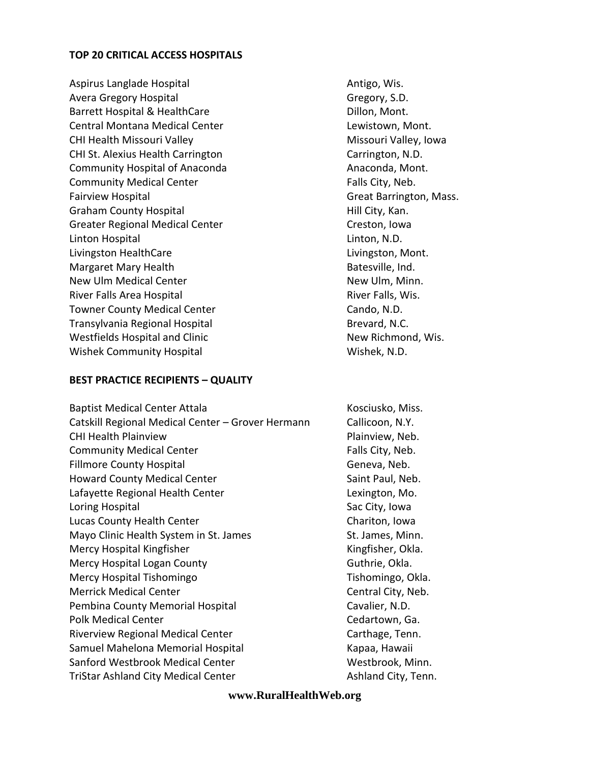#### **TOP 20 CRITICAL ACCESS HOSPITALS**

Aspirus Langlade Hospital Antigo, Wis. Avera Gregory Hospital Gregory, S.D. Barrett Hospital & HealthCare **Dillon, Mont.** Central Montana Medical Center **Lewistown**, Mont. CHI Health Missouri Valley Missouri Valley, Iowa CHI St. Alexius Health Carrington Carrington Carrington, N.D. Community Hospital of Anaconda Anaconda, Mont. Community Medical Center Falls City, Neb. Fairview Hospital **Fairview Hospital** Great Barrington, Mass. Graham County Hospital **Hill City**, Kan. Greater Regional Medical Center Creston, Iowa Linton Hospital Linton, N.D. Livingston HealthCare Livingston, Mont. Margaret Mary Health Batesville, Ind. New Ulm Medical Center New Ulm, Minn. River Falls Area Hospital **River Falls**, Wis. Towner County Medical Center Cando, N.D. Transylvania Regional Hospital Brevard, N.C. Westfields Hospital and Clinic New Richmond, Wis. Wishek Community Hospital Wishek, N.D.

### **BEST PRACTICE RECIPIENTS – QUALITY**

| <b>Baptist Medical Center Attala</b>              | Kosciusko, Miss.    |
|---------------------------------------------------|---------------------|
| Catskill Regional Medical Center - Grover Hermann | Callicoon, N.Y.     |
| <b>CHI Health Plainview</b>                       | Plainview, Neb.     |
| <b>Community Medical Center</b>                   | Falls City, Neb.    |
| <b>Fillmore County Hospital</b>                   | Geneva, Neb.        |
| <b>Howard County Medical Center</b>               | Saint Paul, Neb.    |
| Lafayette Regional Health Center                  | Lexington, Mo.      |
| Loring Hospital                                   | Sac City, Iowa      |
| Lucas County Health Center                        | Chariton, Iowa      |
| Mayo Clinic Health System in St. James            | St. James, Minn.    |
| Mercy Hospital Kingfisher                         | Kingfisher, Okla.   |
| Mercy Hospital Logan County                       | Guthrie, Okla.      |
| Mercy Hospital Tishomingo                         | Tishomingo, Okla.   |
| <b>Merrick Medical Center</b>                     | Central City, Neb.  |
| Pembina County Memorial Hospital                  | Cavalier, N.D.      |
| <b>Polk Medical Center</b>                        | Cedartown, Ga.      |
| <b>Riverview Regional Medical Center</b>          | Carthage, Tenn.     |
| Samuel Mahelona Memorial Hospital                 | Kapaa, Hawaii       |
| Sanford Westbrook Medical Center                  | Westbrook, Minn.    |
| <b>TriStar Ashland City Medical Center</b>        | Ashland City, Tenn. |

#### **www.RuralHealthWeb.org**